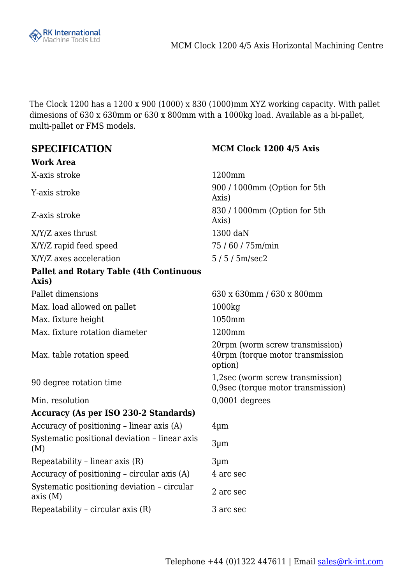

The Clock 1200 has a 1200 x 900 (1000) x 830 (1000)mm XYZ working capacity. With pallet dimesions of 630 x 630mm or 630 x 800mm with a 1000kg load. Available as a bi-pallet, multi-pallet or FMS models.

#### **Work Area**

X-axis stroke 1200mm

X/Y/Z axes thrust 1300 daN X/Y/Z rapid feed speed 75 / 60 / 75m/min X/Y/Z axes acceleration 5/5/5 m/sec2

#### **Pallet and Rotary Table (4th Continuous Axis)**

Max. load allowed on pallet 1000kg Max. fixture height 1050mm Max. fixture rotation diameter 1200mm

Max. table rotation speed

Min. resolution 0,0001 degrees

### **Accuracy (As per ISO 230-2 Standards)**

Accuracy of positioning – linear axis  $(A)$  4µm Systematic positional deviation – linear axis (M) 3µm Repeatability – linear axis  $(R)$  3µm Accuracy of positioning – circular axis  $(A)$  4 arc sec Systematic positioning deviation – circular axis (M) 2 arc sec Repeatability – circular axis (R) 3 arc sec

### **SPECIFICATION MCM Clock 1200 4/5 Axis**

Y-axis stroke 900 / 1000mm (Option for 5th Axis) Z-axis stroke 830 / 1000mm (Option for 5th Axis)

Pallet dimensions 630 x 630mm / 630 x 800mm 20rpm (worm screw transmission) 40rpm (torque motor transmission option) 90 degree rotation time  $\frac{1}{2}$  and  $\frac{1}{2}$  are (worm screw transmission) 0,9sec (torque motor transmission)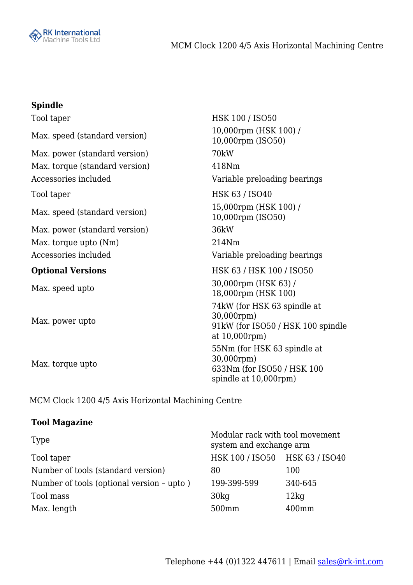

# **Spindle**

| Tool taper                     | HSK 100 / ISO50                                                                                  |
|--------------------------------|--------------------------------------------------------------------------------------------------|
| Max. speed (standard version)  | 10,000rpm (HSK 100) /<br>10,000rpm (ISO50)                                                       |
| Max. power (standard version)  | 70kW                                                                                             |
| Max. torque (standard version) | 418Nm                                                                                            |
| Accessories included           | Variable preloading bearings                                                                     |
| Tool taper                     | <b>HSK 63 / ISO40</b>                                                                            |
| Max. speed (standard version)  | 15,000rpm (HSK 100) /<br>10,000rpm (ISO50)                                                       |
| Max. power (standard version)  | 36kW                                                                                             |
| Max. torque upto (Nm)          | 214Nm                                                                                            |
| Accessories included           | Variable preloading bearings                                                                     |
| <b>Optional Versions</b>       | HSK 63 / HSK 100 / ISO50                                                                         |
| Max. speed upto                | 30,000rpm (HSK 63) /<br>18,000rpm (HSK 100)                                                      |
| Max. power upto                | 74kW (for HSK 63 spindle at<br>30,000rpm)<br>91kW (for ISO50 / HSK 100 spindle<br>at 10,000rpm)  |
| Max. torque upto               | 55Nm (for HSK 63 spindle at<br>30,000rpm)<br>633Nm (for ISO50 / HSK 100<br>spindle at 10,000rpm) |

MCM Clock 1200 4/5 Axis Horizontal Machining Centre

# **Tool Magazine**

| Type                                      | Modular rack with tool movement<br>system and exchange arm |          |
|-------------------------------------------|------------------------------------------------------------|----------|
| Tool taper                                | HSK 100 / ISO50 HSK 63 / ISO40                             |          |
| Number of tools (standard version)        | 80                                                         | 100      |
| Number of tools (optional version - upto) | 199-399-599                                                | 340-645  |
| Tool mass                                 | 30 <sub>kq</sub>                                           | 12kg     |
| Max. length                               | 500mm                                                      | $400$ mm |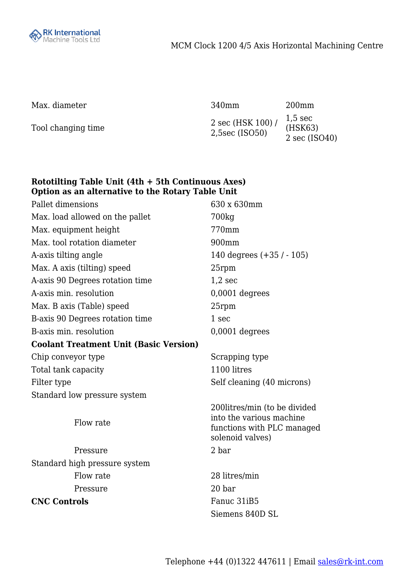

Max. diameter 340mm 200mm

Tool changing time  $\frac{2 \sec (\text{HSK } 100)}{2 \text{ Fesc } (\text{ISCS } 2)}$ 2,5sec (ISO50) 1,5 sec (HSK63) 2 sec (ISO40)

## **Rototilting Table Unit (4th + 5th Continuous Axes) Option as an alternative to the Rotary Table Unit**

| Pallet dimensions                             | 630 x 630mm                                                                                                 |
|-----------------------------------------------|-------------------------------------------------------------------------------------------------------------|
| Max. load allowed on the pallet               | 700 <sub>kg</sub>                                                                                           |
| Max. equipment height                         | 770mm                                                                                                       |
| Max, tool rotation diameter                   | 900mm                                                                                                       |
| A-axis tilting angle                          | 140 degrees $(+35 / -105)$                                                                                  |
| Max. A axis (tilting) speed                   | 25rpm                                                                                                       |
| A-axis 90 Degrees rotation time               | $1,2 \text{ sec}$                                                                                           |
| A-axis min. resolution                        | 0,0001 degrees                                                                                              |
| Max. B axis (Table) speed                     | 25rpm                                                                                                       |
| B-axis 90 Degrees rotation time               | 1 sec                                                                                                       |
| B-axis min. resolution                        | $0,0001$ degrees                                                                                            |
| <b>Coolant Treatment Unit (Basic Version)</b> |                                                                                                             |
| Chip conveyor type                            | Scrapping type                                                                                              |
| Total tank capacity                           | 1100 litres                                                                                                 |
| Filter type                                   | Self cleaning (40 microns)                                                                                  |
| Standard low pressure system                  |                                                                                                             |
| Flow rate                                     | 200 litres/min (to be divided<br>into the various machine<br>functions with PLC managed<br>solenoid valves) |
| Pressure                                      | 2 bar                                                                                                       |
| Standard high pressure system                 |                                                                                                             |
| Flow rate                                     | 28 litres/min                                                                                               |
| Pressure                                      | 20 <sub>bar</sub>                                                                                           |
| <b>CNC Controls</b>                           | Fanuc 31iB5                                                                                                 |
|                                               | Siemens 840D SL                                                                                             |